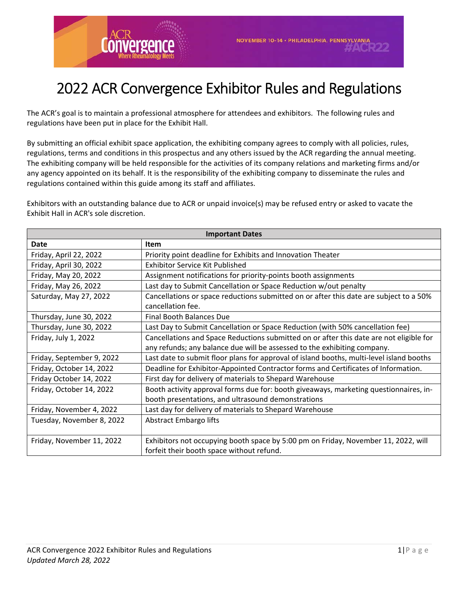

# 2022 ACR Convergence Exhibitor Rules and Regulations

The ACR's goal is to maintain a professional atmosphere for attendees and exhibitors. The following rules and regulations have been put in place for the Exhibit Hall.

By submitting an official exhibit space application, the exhibiting company agrees to comply with all policies, rules, regulations, terms and conditions in this prospectus and any others issued by the ACR regarding the annual meeting. The exhibiting company will be held responsible for the activities of its company relations and marketing firms and/or any agency appointed on its behalf. It is the responsibility of the exhibiting company to disseminate the rules and regulations contained within this guide among its staff and affiliates.

Exhibitors with an outstanding balance due to ACR or unpaid invoice(s) may be refused entry or asked to vacate the Exhibit Hall in ACR's sole discretion.

| <b>Important Dates</b>    |                                                                                          |
|---------------------------|------------------------------------------------------------------------------------------|
| <b>Date</b>               | <b>Item</b>                                                                              |
| Friday, April 22, 2022    | Priority point deadline for Exhibits and Innovation Theater                              |
| Friday, April 30, 2022    | <b>Exhibitor Service Kit Published</b>                                                   |
| Friday, May 20, 2022      | Assignment notifications for priority-points booth assignments                           |
| Friday, May 26, 2022      | Last day to Submit Cancellation or Space Reduction w/out penalty                         |
| Saturday, May 27, 2022    | Cancellations or space reductions submitted on or after this date are subject to a 50%   |
|                           | cancellation fee.                                                                        |
| Thursday, June 30, 2022   | Final Booth Balances Due                                                                 |
| Thursday, June 30, 2022   | Last Day to Submit Cancellation or Space Reduction (with 50% cancellation fee)           |
| Friday, July 1, 2022      | Cancellations and Space Reductions submitted on or after this date are not eligible for  |
|                           | any refunds; any balance due will be assessed to the exhibiting company.                 |
| Friday, September 9, 2022 | Last date to submit floor plans for approval of island booths, multi-level island booths |
| Friday, October 14, 2022  | Deadline for Exhibitor-Appointed Contractor forms and Certificates of Information.       |
| Friday October 14, 2022   | First day for delivery of materials to Shepard Warehouse                                 |
| Friday, October 14, 2022  | Booth activity approval forms due for: booth giveaways, marketing questionnaires, in-    |
|                           | booth presentations, and ultrasound demonstrations                                       |
| Friday, November 4, 2022  | Last day for delivery of materials to Shepard Warehouse                                  |
| Tuesday, November 8, 2022 | Abstract Embargo lifts                                                                   |
|                           |                                                                                          |
| Friday, November 11, 2022 | Exhibitors not occupying booth space by 5:00 pm on Friday, November 11, 2022, will       |
|                           | forfeit their booth space without refund.                                                |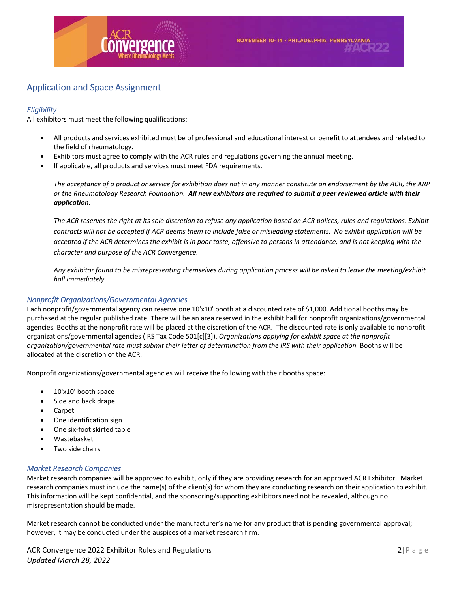

# Application and Space Assignment

# *Eligibility*

All exhibitors must meet the following qualifications:

- All products and services exhibited must be of professional and educational interest or benefit to attendees and related to the field of rheumatology.
- Exhibitors must agree to comply with the ACR rules and regulations governing the annual meeting.
- If applicable, all products and services must meet FDA requirements.

*The acceptance of a product or service for exhibition does not in any manner constitute an endorsement by the ACR, the ARP or the Rheumatology Research Foundation. All new exhibitors are required to submit a peer reviewed article with their application.*

*The ACR reserves the right at its sole discretion to refuse any application based on ACR polices, rules and regulations. Exhibit contracts will not be accepted if ACR deems them to include false or misleading statements. No exhibit application will be accepted if the ACR determines the exhibit is in poor taste, offensive to persons in attendance, and is not keeping with the character and purpose of the ACR Convergence.* 

*Any exhibitor found to be misrepresenting themselves during application process will be asked to leave the meeting/exhibit hall immediately.*

# *Nonprofit Organizations/Governmental Agencies*

Each nonprofit/governmental agency can reserve one 10'x10' booth at a discounted rate of \$1,000. Additional booths may be purchased at the regular published rate. There will be an area reserved in the exhibit hall for nonprofit organizations/governmental agencies. Booths at the nonprofit rate will be placed at the discretion of the ACR. The discounted rate is only available to nonprofit organizations/governmental agencies (IRS Tax Code 501[c][3]). *Organizations applying for exhibit space at the nonprofit organization/governmental rate must submit their letter of determination from the IRS with their application.* Booths will be allocated at the discretion of the ACR.

Nonprofit organizations/governmental agencies will receive the following with their booths space:

- 10'x10' booth space
- Side and back drape
- Carpet
- One identification sign
- One six‐foot skirted table
- Wastebasket
- Two side chairs

# *Market Research Companies*

Market research companies will be approved to exhibit, only if they are providing research for an approved ACR Exhibitor. Market research companies must include the name(s) of the client(s) for whom they are conducting research on their application to exhibit. This information will be kept confidential, and the sponsoring/supporting exhibitors need not be revealed, although no misrepresentation should be made.

Market research cannot be conducted under the manufacturer's name for any product that is pending governmental approval; however, it may be conducted under the auspices of a market research firm.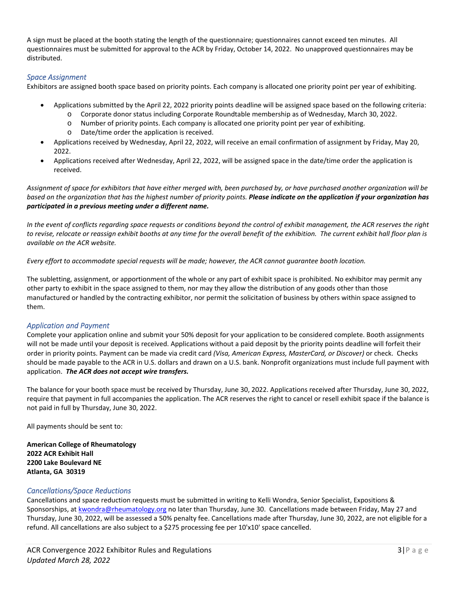A sign must be placed at the booth stating the length of the questionnaire; questionnaires cannot exceed ten minutes. All questionnaires must be submitted for approval to the ACR by Friday, October 14, 2022. No unapproved questionnaires may be distributed.

# *Space Assignment*

Exhibitors are assigned booth space based on priority points. Each company is allocated one priority point per year of exhibiting.

- Applications submitted by the April 22, 2022 priority points deadline will be assigned space based on the following criteria:
	- o Corporate donor status including Corporate Roundtable membership as of Wednesday, March 30, 2022.
	- o Number of priority points. Each company is allocated one priority point per year of exhibiting.
	- o Date/time order the application is received.
- Applications received by Wednesday, April 22, 2022, will receive an email confirmation of assignment by Friday, May 20, 2022.
- Applications received after Wednesday, April 22, 2022, will be assigned space in the date/time order the application is received.

*Assignment of space for exhibitors that have either merged with, been purchased by, or have purchased another organization will be based on the organization that has the highest number of priority points. Please indicate on the application if your organization has participated in a previous meeting under a different name.* 

*In the event of conflicts regarding space requests or conditions beyond the control of exhibit management, the ACR reserves the right to revise, relocate or reassign exhibit booths at any time for the overall benefit of the exhibition. The current exhibit hall floor plan is available on the ACR website.* 

*Every effort to accommodate special requests will be made; however, the ACR cannot guarantee booth location.* 

The subletting, assignment, or apportionment of the whole or any part of exhibit space is prohibited. No exhibitor may permit any other party to exhibit in the space assigned to them, nor may they allow the distribution of any goods other than those manufactured or handled by the contracting exhibitor, nor permit the solicitation of business by others within space assigned to them.

# *Application and Payment*

Complete your application online and submit your 50% deposit for your application to be considered complete. Booth assignments will not be made until your deposit is received. Applications without a paid deposit by the priority points deadline will forfeit their order in priority points. Payment can be made via credit card *(Visa, American Express, MasterCard, or Discover)* or check. Checks should be made payable to the ACR in U.S. dollars and drawn on a U.S. bank. Nonprofit organizations must include full payment with application. *The ACR does not accept wire transfers.*

The balance for your booth space must be received by Thursday, June 30, 2022. Applications received after Thursday, June 30, 2022, require that payment in full accompanies the application. The ACR reserves the right to cancel or resell exhibit space if the balance is not paid in full by Thursday, June 30, 2022.

All payments should be sent to:

**American College of Rheumatology 2022 ACR Exhibit Hall 2200 Lake Boulevard NE Atlanta, GA 30319** 

# *Cancellations/Space Reductions*

Cancellations and space reduction requests must be submitted in writing to Kelli Wondra, Senior Specialist, Expositions & Sponsorships, at kwondra@rheumatology.org no later than Thursday, June 30. Cancellations made between Friday, May 27 and Thursday, June 30, 2022, will be assessed a 50% penalty fee. Cancellations made after Thursday, June 30, 2022, are not eligible for a refund. All cancellations are also subject to a \$275 processing fee per 10'x10' space cancelled.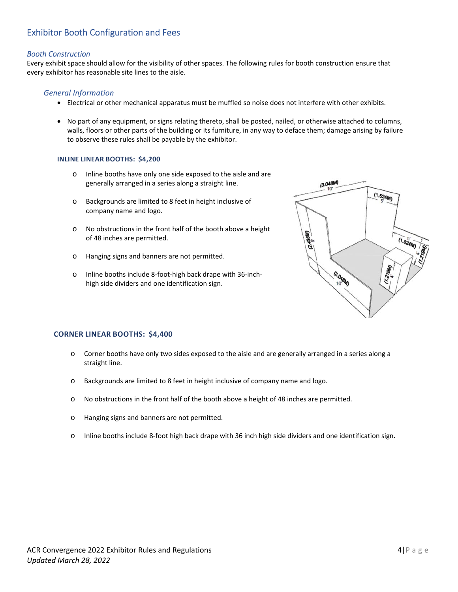# Exhibitor Booth Configuration and Fees

## *Booth Construction*

Every exhibit space should allow for the visibility of other spaces. The following rules for booth construction ensure that every exhibitor has reasonable site lines to the aisle.

# *General Information*

- Electrical or other mechanical apparatus must be muffled so noise does not interfere with other exhibits.
- No part of any equipment, or signs relating thereto, shall be posted, nailed, or otherwise attached to columns, walls, floors or other parts of the building or its furniture, in any way to deface them; damage arising by failure to observe these rules shall be payable by the exhibitor.

#### **INLINE LINEAR BOOTHS: \$4,200**

- o Inline booths have only one side exposed to the aisle and are generally arranged in a series along a straight line.
- o Backgrounds are limited to 8 feet in height inclusive of company name and logo.
- o No obstructions in the front half of the booth above a height of 48 inches are permitted.
- o Hanging signs and banners are not permitted.
- o Inline booths include 8‐foot‐high back drape with 36‐inch‐ high side dividers and one identification sign.



#### **CORNER LINEAR BOOTHS: \$4,400**

- o Corner booths have only two sides exposed to the aisle and are generally arranged in a series along a straight line.
- o Backgrounds are limited to 8 feet in height inclusive of company name and logo.
- o No obstructions in the front half of the booth above a height of 48 inches are permitted.
- o Hanging signs and banners are not permitted.
- o Inline booths include 8‐foot high back drape with 36 inch high side dividers and one identification sign.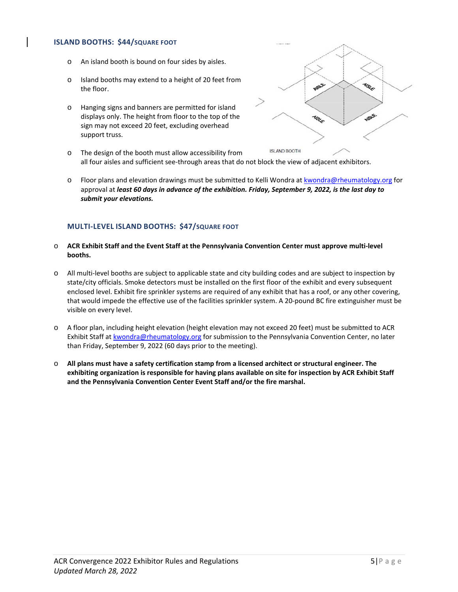#### **ISLAND BOOTHS: \$44/SQUARE FOOT**

- o An island booth is bound on four sides by aisles.
- o Island booths may extend to a height of 20 feet from the floor.
- o Hanging signs and banners are permitted for island displays only. The height from floor to the top of the sign may not exceed 20 feet, excluding overhead support truss.



- o The design of the booth must allow accessibility from all four aisles and sufficient see-through areas that do not block the view of adjacent exhibitors.
- o Floor plans and elevation drawings must be submitted to Kelli Wondra at kwondra@rheumatology.org for approval at *least 60 days in advance of the exhibition. Friday, September 9, 2022, is the last day to submit your elevations.*

## **MULTI‐LEVEL ISLAND BOOTHS: \$47/SQUARE FOOT**

- o **ACR Exhibit Staff and the Event Staff at the Pennsylvania Convention Center must approve multi‐level booths.**
- o All multi‐level booths are subject to applicable state and city building codes and are subject to inspection by state/city officials. Smoke detectors must be installed on the first floor of the exhibit and every subsequent enclosed level. Exhibit fire sprinkler systems are required of any exhibit that has a roof, or any other covering, that would impede the effective use of the facilities sprinkler system. A 20‐pound BC fire extinguisher must be visible on every level.
- o A floor plan, including height elevation (height elevation may not exceed 20 feet) must be submitted to ACR Exhibit Staff at kwondra@rheumatology.org for submission to the Pennsylvania Convention Center, no later than Friday, September 9, 2022 (60 days prior to the meeting).
- o **All plans must have a safety certification stamp from a licensed architect or structural engineer. The exhibiting organization is responsible for having plans available on site for inspection by ACR Exhibit Staff and the Pennsylvania Convention Center Event Staff and/or the fire marshal.**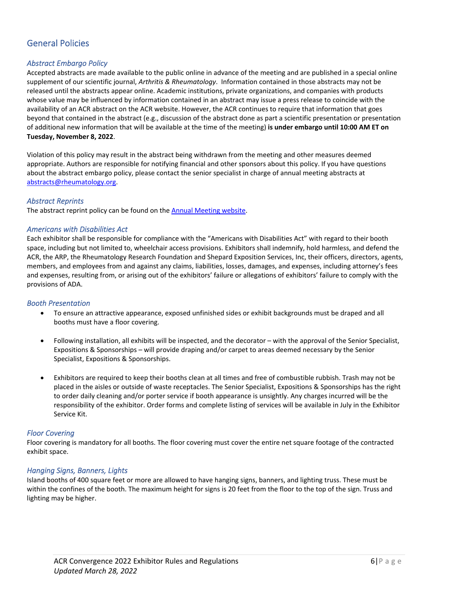# General Policies

# *Abstract Embargo Policy*

Accepted abstracts are made available to the public online in advance of the meeting and are published in a special online supplement of our scientific journal, *Arthritis & Rheumatology*. Information contained in those abstracts may not be released until the abstracts appear online. Academic institutions, private organizations, and companies with products whose value may be influenced by information contained in an abstract may issue a press release to coincide with the availability of an ACR abstract on the ACR website. However, the ACR continues to require that information that goes beyond that contained in the abstract (e.g., discussion of the abstract done as part a scientific presentation or presentation of additional new information that will be available at the time of the meeting) **is under embargo until 10:00 AM ET on Tuesday, November 8, 2022**.

Violation of this policy may result in the abstract being withdrawn from the meeting and other measures deemed appropriate. Authors are responsible for notifying financial and other sponsors about this policy. If you have questions about the abstract embargo policy, please contact the senior specialist in charge of annual meeting abstracts at abstracts@rheumatology.org.

#### *Abstract Reprints*

The abstract reprint policy can be found on the Annual Meeting website.

#### *Americans with Disabilities Act*

Each exhibitor shall be responsible for compliance with the "Americans with Disabilities Act" with regard to their booth space, including but not limited to, wheelchair access provisions. Exhibitors shall indemnify, hold harmless, and defend the ACR, the ARP, the Rheumatology Research Foundation and Shepard Exposition Services, Inc, their officers, directors, agents, members, and employees from and against any claims, liabilities, losses, damages, and expenses, including attorney's fees and expenses, resulting from, or arising out of the exhibitors' failure or allegations of exhibitors' failure to comply with the provisions of ADA.

#### *Booth Presentation*

- To ensure an attractive appearance, exposed unfinished sides or exhibit backgrounds must be draped and all booths must have a floor covering.
- Following installation, all exhibits will be inspected, and the decorator with the approval of the Senior Specialist, Expositions & Sponsorships – will provide draping and/or carpet to areas deemed necessary by the Senior Specialist, Expositions & Sponsorships.
- Exhibitors are required to keep their booths clean at all times and free of combustible rubbish. Trash may not be placed in the aisles or outside of waste receptacles. The Senior Specialist, Expositions & Sponsorships has the right to order daily cleaning and/or porter service if booth appearance is unsightly. Any charges incurred will be the responsibility of the exhibitor. Order forms and complete listing of services will be available in July in the Exhibitor Service Kit.

#### *Floor Covering*

Floor covering is mandatory for all booths. The floor covering must cover the entire net square footage of the contracted exhibit space.

#### *Hanging Signs, Banners, Lights*

Island booths of 400 square feet or more are allowed to have hanging signs, banners, and lighting truss. These must be within the confines of the booth. The maximum height for signs is 20 feet from the floor to the top of the sign. Truss and lighting may be higher.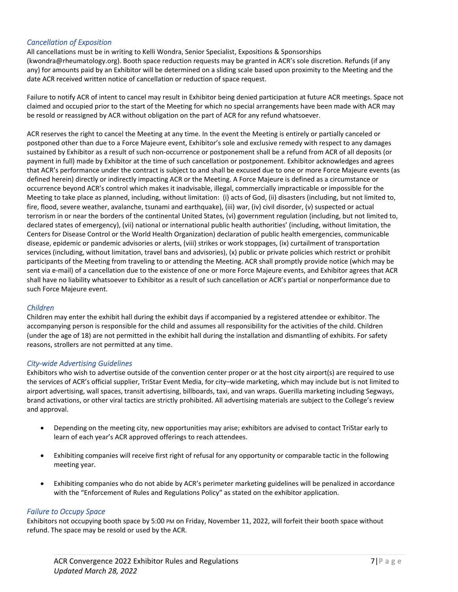# *Cancellation of Exposition*

All cancellations must be in writing to Kelli Wondra, Senior Specialist, Expositions & Sponsorships (kwondra@rheumatology.org). Booth space reduction requests may be granted in ACR's sole discretion. Refunds (if any any) for amounts paid by an Exhibitor will be determined on a sliding scale based upon proximity to the Meeting and the date ACR received written notice of cancellation or reduction of space request.

Failure to notify ACR of intent to cancel may result in Exhibitor being denied participation at future ACR meetings. Space not claimed and occupied prior to the start of the Meeting for which no special arrangements have been made with ACR may be resold or reassigned by ACR without obligation on the part of ACR for any refund whatsoever.

ACR reserves the right to cancel the Meeting at any time. In the event the Meeting is entirely or partially canceled or postponed other than due to a Force Majeure event, Exhibitor's sole and exclusive remedy with respect to any damages sustained by Exhibitor as a result of such non‐occurrence or postponement shall be a refund from ACR of all deposits (or payment in full) made by Exhibitor at the time of such cancellation or postponement. Exhibitor acknowledges and agrees that ACR's performance under the contract is subject to and shall be excused due to one or more Force Majeure events (as defined herein) directly or indirectly impacting ACR or the Meeting. A Force Majeure is defined as a circumstance or occurrence beyond ACR's control which makes it inadvisable, illegal, commercially impracticable or impossible for the Meeting to take place as planned, including, without limitation: (i) acts of God, (ii) disasters (including, but not limited to, fire, flood, severe weather, avalanche, tsunami and earthquake), (iii) war, (iv) civil disorder, (v) suspected or actual terrorism in or near the borders of the continental United States, (vi) government regulation (including, but not limited to, declared states of emergency), (vii) national or international public health authorities' (including, without limitation, the Centers for Disease Control or the World Health Organization) declaration of public health emergencies, communicable disease, epidemic or pandemic advisories or alerts, (viii) strikes or work stoppages, (ix) curtailment of transportation services (including, without limitation, travel bans and advisories), (x) public or private policies which restrict or prohibit participants of the Meeting from traveling to or attending the Meeting. ACR shall promptly provide notice (which may be sent via e-mail) of a cancellation due to the existence of one or more Force Majeure events, and Exhibitor agrees that ACR shall have no liability whatsoever to Exhibitor as a result of such cancellation or ACR's partial or nonperformance due to such Force Majeure event.

# *Children*

Children may enter the exhibit hall during the exhibit days if accompanied by a registered attendee or exhibitor. The accompanying person is responsible for the child and assumes all responsibility for the activities of the child. Children (under the age of 18) are not permitted in the exhibit hall during the installation and dismantling of exhibits. For safety reasons, strollers are not permitted at any time.

#### *City‐wide Advertising Guidelines*

Exhibitors who wish to advertise outside of the convention center proper or at the host city airport(s) are required to use the services of ACR's official supplier, TriStar Event Media, for city–wide marketing, which may include but is not limited to airport advertising, wall spaces, transit advertising, billboards, taxi, and van wraps. Guerilla marketing including Segways, brand activations, or other viral tactics are strictly prohibited. All advertising materials are subject to the College's review and approval.

- Depending on the meeting city, new opportunities may arise; exhibitors are advised to contact TriStar early to learn of each year's ACR approved offerings to reach attendees.
- Exhibiting companies will receive first right of refusal for any opportunity or comparable tactic in the following meeting year.
- Exhibiting companies who do not abide by ACR's perimeter marketing guidelines will be penalized in accordance with the "Enforcement of Rules and Regulations Policy" as stated on the exhibitor application.

# *Failure to Occupy Space*

Exhibitors not occupying booth space by 5:00 PM on Friday, November 11, 2022, will forfeit their booth space without refund. The space may be resold or used by the ACR.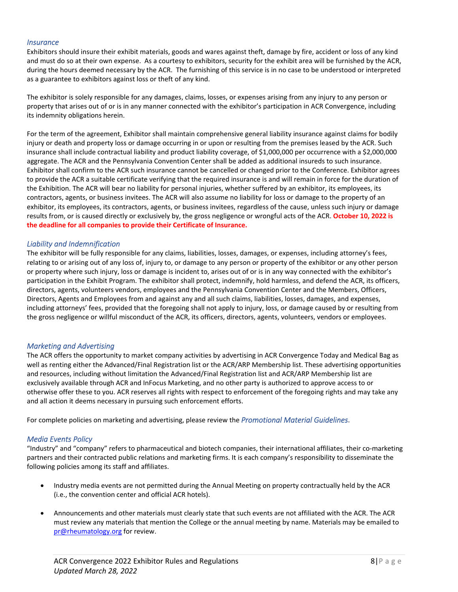#### *Insurance*

Exhibitors should insure their exhibit materials, goods and wares against theft, damage by fire, accident or loss of any kind and must do so at their own expense. As a courtesy to exhibitors, security for the exhibit area will be furnished by the ACR, during the hours deemed necessary by the ACR. The furnishing of this service is in no case to be understood or interpreted as a guarantee to exhibitors against loss or theft of any kind.

The exhibitor is solely responsible for any damages, claims, losses, or expenses arising from any injury to any person or property that arises out of or is in any manner connected with the exhibitor's participation in ACR Convergence, including its indemnity obligations herein.

For the term of the agreement, Exhibitor shall maintain comprehensive general liability insurance against claims for bodily injury or death and property loss or damage occurring in or upon or resulting from the premises leased by the ACR. Such insurance shall include contractual liability and product liability coverage, of \$1,000,000 per occurrence with a \$2,000,000 aggregate. The ACR and the Pennsylvania Convention Center shall be added as additional insureds to such insurance. Exhibitor shall confirm to the ACR such insurance cannot be cancelled or changed prior to the Conference. Exhibitor agrees to provide the ACR a suitable certificate verifying that the required insurance is and will remain in force for the duration of the Exhibition. The ACR will bear no liability for personal injuries, whether suffered by an exhibitor, its employees, its contractors, agents, or business invitees. The ACR will also assume no liability for loss or damage to the property of an exhibitor, its employees, its contractors, agents, or business invitees, regardless of the cause, unless such injury or damage results from, or is caused directly or exclusively by, the gross negligence or wrongful acts of the ACR. **October 10, 2022 is the deadline for all companies to provide their Certificate of Insurance.** 

#### *Liability and Indemnification*

The exhibitor will be fully responsible for any claims, liabilities, losses, damages, or expenses, including attorney's fees, relating to or arising out of any loss of, injury to, or damage to any person or property of the exhibitor or any other person or property where such injury, loss or damage is incident to, arises out of or is in any way connected with the exhibitor's participation in the Exhibit Program. The exhibitor shall protect, indemnify, hold harmless, and defend the ACR, its officers, directors, agents, volunteers vendors, employees and the Pennsylvania Convention Center and the Members, Officers, Directors, Agents and Employees from and against any and all such claims, liabilities, losses, damages, and expenses, including attorneys' fees, provided that the foregoing shall not apply to injury, loss, or damage caused by or resulting from the gross negligence or willful misconduct of the ACR, its officers, directors, agents, volunteers, vendors or employees.

#### *Marketing and Advertising*

The ACR offers the opportunity to market company activities by advertising in ACR Convergence Today and Medical Bag as well as renting either the Advanced/Final Registration list or the ACR/ARP Membership list. These advertising opportunities and resources, including without limitation the Advanced/Final Registration list and ACR/ARP Membership list are exclusively available through ACR and InFocus Marketing, and no other party is authorized to approve access to or otherwise offer these to you. ACR reserves all rights with respect to enforcement of the foregoing rights and may take any and all action it deems necessary in pursuing such enforcement efforts.

For complete policies on marketing and advertising, please review the *Promotional Material Guidelines*.

#### *Media Events Policy*

"Industry" and "company" refers to pharmaceutical and biotech companies, their international affiliates, their co‐marketing partners and their contracted public relations and marketing firms. It is each company's responsibility to disseminate the following policies among its staff and affiliates.

- Industry media events are not permitted during the Annual Meeting on property contractually held by the ACR (i.e., the convention center and official ACR hotels).
- Announcements and other materials must clearly state that such events are not affiliated with the ACR. The ACR must review any materials that mention the College or the annual meeting by name. Materials may be emailed to pr@rheumatology.org for review.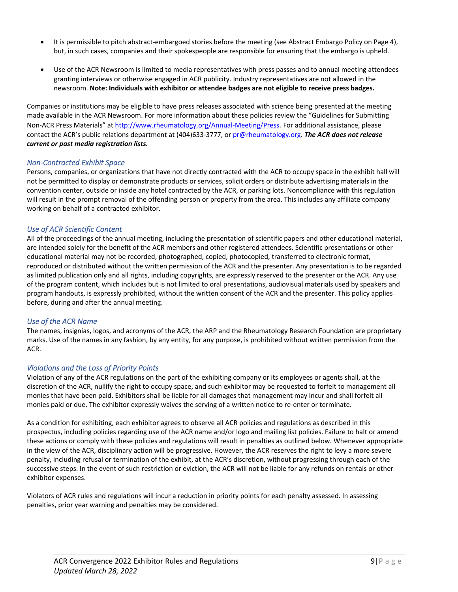- It is permissible to pitch abstract-embargoed stories before the meeting (see Abstract Embargo Policy on Page 4), but, in such cases, companies and their spokespeople are responsible for ensuring that the embargo is upheld.
- Use of the ACR Newsroom is limited to media representatives with press passes and to annual meeting attendees granting interviews or otherwise engaged in ACR publicity. Industry representatives are not allowed in the newsroom. **Note: Individuals with exhibitor or attendee badges are not eligible to receive press badges.**

Companies or institutions may be eligible to have press releases associated with science being presented at the meeting made available in the ACR Newsroom. For more information about these policies review the "Guidelines for Submitting Non‐ACR Press Materials" at http://www.rheumatology.org/Annual‐Meeting/Press. For additional assistance, please contact the ACR's public relations department at (404)633‐3777, or pr@rheumatology.org. *The ACR does not release current or past media registration lists.*

## *Non‐Contracted Exhibit Space*

Persons, companies, or organizations that have not directly contracted with the ACR to occupy space in the exhibit hall will not be permitted to display or demonstrate products or services, solicit orders or distribute advertising materials in the convention center, outside or inside any hotel contracted by the ACR, or parking lots. Noncompliance with this regulation will result in the prompt removal of the offending person or property from the area. This includes any affiliate company working on behalf of a contracted exhibitor.

# *Use of ACR Scientific Content*

All of the proceedings of the annual meeting, including the presentation of scientific papers and other educational material, are intended solely for the benefit of the ACR members and other registered attendees. Scientific presentations or other educational material may not be recorded, photographed, copied, photocopied, transferred to electronic format, reproduced or distributed without the written permission of the ACR and the presenter. Any presentation is to be regarded as limited publication only and all rights, including copyrights, are expressly reserved to the presenter or the ACR. Any use of the program content, which includes but is not limited to oral presentations, audiovisual materials used by speakers and program handouts, is expressly prohibited, without the written consent of the ACR and the presenter. This policy applies before, during and after the annual meeting.

#### *Use of the ACR Name*

The names, insignias, logos, and acronyms of the ACR, the ARP and the Rheumatology Research Foundation are proprietary marks. Use of the names in any fashion, by any entity, for any purpose, is prohibited without written permission from the ACR.

#### *Violations and the Loss of Priority Points*

Violation of any of the ACR regulations on the part of the exhibiting company or its employees or agents shall, at the discretion of the ACR, nullify the right to occupy space, and such exhibitor may be requested to forfeit to management all monies that have been paid. Exhibitors shall be liable for all damages that management may incur and shall forfeit all monies paid or due. The exhibitor expressly waives the serving of a written notice to re-enter or terminate.

As a condition for exhibiting, each exhibitor agrees to observe all ACR policies and regulations as described in this prospectus, including policies regarding use of the ACR name and/or logo and mailing list policies. Failure to halt or amend these actions or comply with these policies and regulations will result in penalties as outlined below. Whenever appropriate in the view of the ACR, disciplinary action will be progressive. However, the ACR reserves the right to levy a more severe penalty, including refusal or termination of the exhibit, at the ACR's discretion, without progressing through each of the successive steps. In the event of such restriction or eviction, the ACR will not be liable for any refunds on rentals or other exhibitor expenses.

Violators of ACR rules and regulations will incur a reduction in priority points for each penalty assessed. In assessing penalties, prior year warning and penalties may be considered.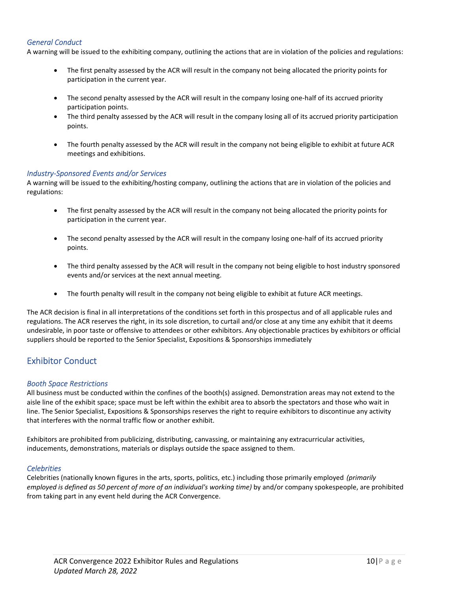# *General Conduct*

A warning will be issued to the exhibiting company, outlining the actions that are in violation of the policies and regulations: 

- The first penalty assessed by the ACR will result in the company not being allocated the priority points for participation in the current year.
- The second penalty assessed by the ACR will result in the company losing one-half of its accrued priority participation points.
- The third penalty assessed by the ACR will result in the company losing all of its accrued priority participation points.
- The fourth penalty assessed by the ACR will result in the company not being eligible to exhibit at future ACR meetings and exhibitions.

#### *Industry‐Sponsored Events and/or Services*

A warning will be issued to the exhibiting/hosting company, outlining the actions that are in violation of the policies and regulations: 

- The first penalty assessed by the ACR will result in the company not being allocated the priority points for participation in the current year.
- The second penalty assessed by the ACR will result in the company losing one‐half of its accrued priority points.
- The third penalty assessed by the ACR will result in the company not being eligible to host industry sponsored events and/or services at the next annual meeting.
- The fourth penalty will result in the company not being eligible to exhibit at future ACR meetings.

The ACR decision is final in all interpretations of the conditions set forth in this prospectus and of all applicable rules and regulations. The ACR reserves the right, in its sole discretion, to curtail and/or close at any time any exhibit that it deems undesirable, in poor taste or offensive to attendees or other exhibitors. Any objectionable practices by exhibitors or official suppliers should be reported to the Senior Specialist, Expositions & Sponsorships immediately

# Exhibitor Conduct

#### *Booth Space Restrictions*

All business must be conducted within the confines of the booth(s) assigned. Demonstration areas may not extend to the aisle line of the exhibit space; space must be left within the exhibit area to absorb the spectators and those who wait in line. The Senior Specialist, Expositions & Sponsorships reserves the right to require exhibitors to discontinue any activity that interferes with the normal traffic flow or another exhibit.

Exhibitors are prohibited from publicizing, distributing, canvassing, or maintaining any extracurricular activities, inducements, demonstrations, materials or displays outside the space assigned to them.

#### *Celebrities*

Celebrities (nationally known figures in the arts, sports, politics, etc.) including those primarily employed *(primarily employed is defined as 50 percent of more of an individual's working time)* by and/or company spokespeople, are prohibited from taking part in any event held during the ACR Convergence.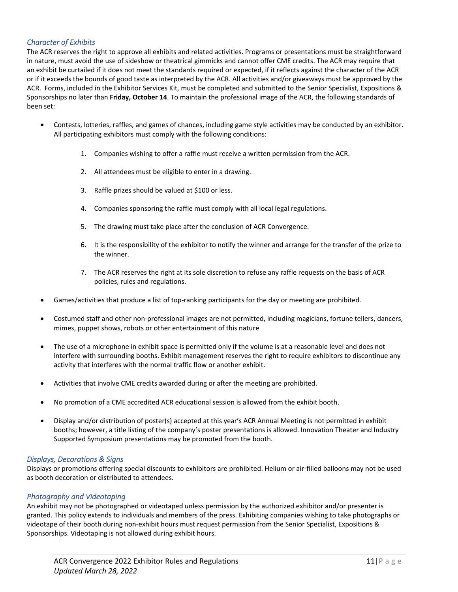# *Character of Exhibits*

The ACR reserves the right to approve all exhibits and related activities. Programs or presentations must be straightforward in nature, must avoid the use of sideshow or theatrical gimmicks and cannot offer CME credits. The ACR may require that an exhibit be curtailed if it does not meet the standards required or expected, if it reflects against the character of the ACR or if it exceeds the bounds of good taste as interpreted by the ACR. All activities and/or giveaways must be approved by the ACR. Forms, included in the Exhibitor Services Kit, must be completed and submitted to the Senior Specialist, Expositions & Sponsorships no later than **Friday, October 14**. To maintain the professional image of the ACR, the following standards of been set:

- Contests, lotteries, raffles, and games of chances, including game style activities may be conducted by an exhibitor. All participating exhibitors must comply with the following conditions:
	- 1. Companies wishing to offer a raffle must receive a written permission from the ACR.
	- 2. All attendees must be eligible to enter in a drawing.
	- 3. Raffle prizes should be valued at \$100 or less.
	- 4. Companies sponsoring the raffle must comply with all local legal regulations.
	- 5. The drawing must take place after the conclusion of ACR Convergence.
	- 6. It is the responsibility of the exhibitor to notify the winner and arrange for the transfer of the prize to the winner.
	- 7. The ACR reserves the right at its sole discretion to refuse any raffle requests on the basis of ACR policies, rules and regulations.
- Games/activities that produce a list of top‐ranking participants for the day or meeting are prohibited.
- Costumed staff and other non‐professional images are not permitted, including magicians, fortune tellers, dancers, mimes, puppet shows, robots or other entertainment of this nature
- The use of a microphone in exhibit space is permitted only if the volume is at a reasonable level and does not interfere with surrounding booths. Exhibit management reserves the right to require exhibitors to discontinue any activity that interferes with the normal traffic flow or another exhibit.
- Activities that involve CME credits awarded during or after the meeting are prohibited.
- No promotion of a CME accredited ACR educational session is allowed from the exhibit booth.
- Display and/or distribution of poster(s) accepted at this year's ACR Annual Meeting is not permitted in exhibit booths; however, a title listing of the company's poster presentations is allowed. Innovation Theater and Industry Supported Symposium presentations may be promoted from the booth.

# *Displays, Decorations & Signs*

Displays or promotions offering special discounts to exhibitors are prohibited. Helium or air‐filled balloons may not be used as booth decoration or distributed to attendees.

# *Photography and Videotaping*

An exhibit may not be photographed or videotaped unless permission by the authorized exhibitor and/or presenter is granted. This policy extends to individuals and members of the press. Exhibiting companies wishing to take photographs or videotape of their booth during non-exhibit hours must request permission from the Senior Specialist, Expositions & Sponsorships. Videotaping is not allowed during exhibit hours.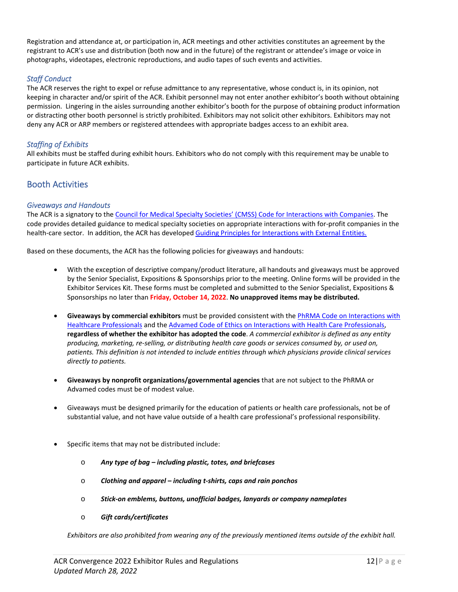Registration and attendance at, or participation in, ACR meetings and other activities constitutes an agreement by the registrant to ACR's use and distribution (both now and in the future) of the registrant or attendee's image or voice in photographs, videotapes, electronic reproductions, and audio tapes of such events and activities.

# *Staff Conduct*

The ACR reserves the right to expel or refuse admittance to any representative, whose conduct is, in its opinion, not keeping in character and/or spirit of the ACR. Exhibit personnel may not enter another exhibitor's booth without obtaining permission. Lingering in the aisles surrounding another exhibitor's booth for the purpose of obtaining product information or distracting other booth personnel is strictly prohibited. Exhibitors may not solicit other exhibitors. Exhibitors may not deny any ACR or ARP members or registered attendees with appropriate badges access to an exhibit area.

# *Staffing of Exhibits*

All exhibits must be staffed during exhibit hours. Exhibitors who do not comply with this requirement may be unable to participate in future ACR exhibits.

# Booth Activities

## *Giveaways and Handouts*

The ACR is a signatory to the Council for Medical Specialty Societies' (CMSS) Code for Interactions with Companies. The code provides detailed guidance to medical specialty societies on appropriate interactions with for‐profit companies in the health-care sector. In addition, the ACR has developed Guiding Principles for Interactions with External Entities.

Based on these documents, the ACR has the following policies for giveaways and handouts:

- With the exception of descriptive company/product literature, all handouts and giveaways must be approved by the Senior Specialist, Expositions & Sponsorships prior to the meeting. Online forms will be provided in the Exhibitor Services Kit. These forms must be completed and submitted to the Senior Specialist, Expositions & Sponsorships no later than **Friday, October 14, 2022**. **No unapproved items may be distributed.**
- **Giveaways by commercial exhibitors** must be provided consistent with the PhRMA Code on Interactions with Healthcare Professionals and the Advamed Code of Ethics on Interactions with Health Care Professionals, **regardless of whether the exhibitor has adopted the code**. *A commercial exhibitor is defined as any entity producing, marketing, re‐selling, or distributing health care goods or services consumed by, or used on, patients. This definition is not intended to include entities through which physicians provide clinical services directly to patients.*
- **Giveaways by nonprofit organizations/governmental agencies** that are not subject to the PhRMA or Advamed codes must be of modest value.
- Giveaways must be designed primarily for the education of patients or health care professionals, not be of substantial value, and not have value outside of a health care professional's professional responsibility.
- Specific items that may not be distributed include:
	- o *Any type of bag including plastic, totes, and briefcases*
	- o *Clothing and apparel including t‐shirts, caps and rain ponchos*
	- o *Stick‐on emblems, buttons, unofficial badges, lanyards or company nameplates*
	- o *Gift cards/certificates*

*Exhibitors are also prohibited from wearing any of the previously mentioned items outside of the exhibit hall.*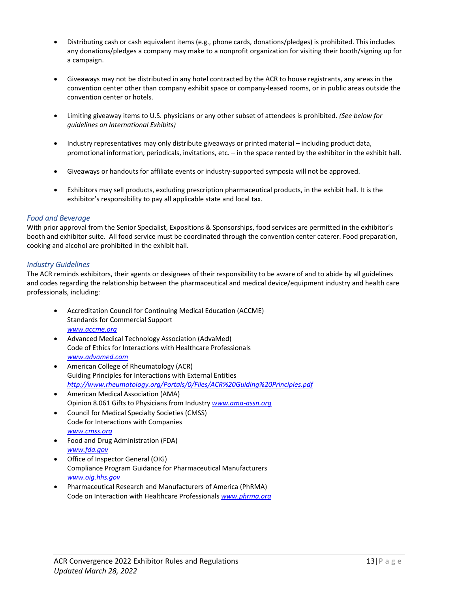- Distributing cash or cash equivalent items (e.g., phone cards, donations/pledges) is prohibited. This includes any donations/pledges a company may make to a nonprofit organization for visiting their booth/signing up for a campaign.
- Giveaways may not be distributed in any hotel contracted by the ACR to house registrants, any areas in the convention center other than company exhibit space or company‐leased rooms, or in public areas outside the convention center or hotels.
- Limiting giveaway items to U.S. physicians or any other subset of attendees is prohibited. *(See below for guidelines on International Exhibits)*
- Industry representatives may only distribute giveaways or printed material including product data, promotional information, periodicals, invitations, etc. – in the space rented by the exhibitor in the exhibit hall.
- Giveaways or handouts for affiliate events or industry‐supported symposia will not be approved.
- Exhibitors may sell products, excluding prescription pharmaceutical products, in the exhibit hall. It is the exhibitor's responsibility to pay all applicable state and local tax.

## *Food and Beverage*

With prior approval from the Senior Specialist, Expositions & Sponsorships, food services are permitted in the exhibitor's booth and exhibitor suite. All food service must be coordinated through the convention center caterer. Food preparation, cooking and alcohol are prohibited in the exhibit hall.

## *Industry Guidelines*

The ACR reminds exhibitors, their agents or designees of their responsibility to be aware of and to abide by all guidelines and codes regarding the relationship between the pharmaceutical and medical device/equipment industry and health care professionals, including:

- Accreditation Council for Continuing Medical Education (ACCME) Standards for Commercial Support *www.accme.org*
- Advanced Medical Technology Association (AdvaMed) Code of Ethics for Interactions with Healthcare Professionals *www.advamed.com*
- American College of Rheumatology (ACR) Guiding Principles for Interactions with External Entities *http://www.rheumatology.org/Portals/0/Files/ACR%20Guiding%20Principles.pdf*
- American Medical Association (AMA) Opinion 8.061 Gifts to Physicians from Industry *www.ama‐assn.org*
- Council for Medical Specialty Societies (CMSS) Code for Interactions with Companies *www.cmss.org*
- Food and Drug Administration (FDA) *www.fda.gov*
- Office of Inspector General (OIG) Compliance Program Guidance for Pharmaceutical Manufacturers *www.oig.hhs.gov*
- Pharmaceutical Research and Manufacturers of America (PhRMA) Code on Interaction with Healthcare Professionals *www.phrma.org*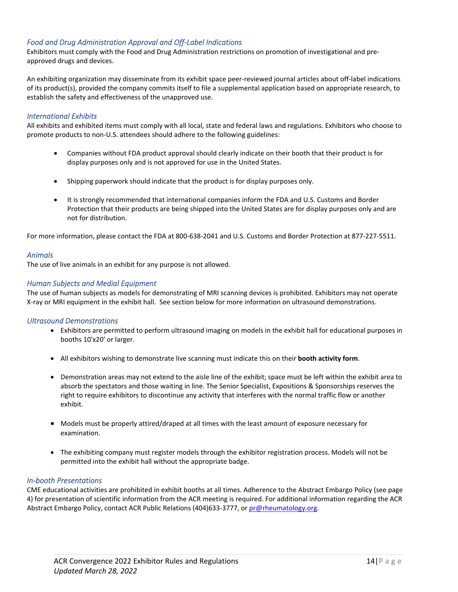# *Food and Drug Administration Approval and Off‐Label Indications*

Exhibitors must comply with the Food and Drug Administration restrictions on promotion of investigational and pre‐ approved drugs and devices.

An exhibiting organization may disseminate from its exhibit space peer‐reviewed journal articles about off‐label indications of its product(s), provided the company commits itself to file a supplemental application based on appropriate research, to establish the safety and effectiveness of the unapproved use.

# *International Exhibits*

All exhibits and exhibited items must comply with all local, state and federal laws and regulations. Exhibitors who choose to promote products to non‐U.S. attendees should adhere to the following guidelines:

- Companies without FDA product approval should clearly indicate on their booth that their product is for display purposes only and is not approved for use in the United States.
- Shipping paperwork should indicate that the product is for display purposes only.
- It is strongly recommended that international companies inform the FDA and U.S. Customs and Border Protection that their products are being shipped into the United States are for display purposes only and are not for distribution.

For more information, please contact the FDA at 800‐638‐2041 and U.S. Customs and Border Protection at 877‐227‐5511.

#### *Animals*

The use of live animals in an exhibit for any purpose is not allowed.

## *Human Subjects and Medial Equipment*

The use of human subjects as models for demonstrating of MRI scanning devices is prohibited. Exhibitors may not operate X‐ray or MRI equipment in the exhibit hall. See section below for more information on ultrasound demonstrations.

#### *Ultrasound Demonstrations*

- Exhibitors are permitted to perform ultrasound imaging on models in the exhibit hall for educational purposes in booths 10'x20' or larger.
- All exhibitors wishing to demonstrate live scanning must indicate this on their **booth activity form**.
- Demonstration areas may not extend to the aisle line of the exhibit; space must be left within the exhibit area to absorb the spectators and those waiting in line. The Senior Specialist, Expositions & Sponsorships reserves the right to require exhibitors to discontinue any activity that interferes with the normal traffic flow or another exhibit.
- $\bullet$  Models must be properly attired/draped at all times with the least amount of exposure necessary for examination.
- The exhibiting company must register models through the exhibitor registration process. Models will not be permitted into the exhibit hall without the appropriate badge.

#### *In‐booth Presentations*

CME educational activities are prohibited in exhibit booths at all times. Adherence to the Abstract Embargo Policy (see page 4) for presentation of scientific information from the ACR meeting is required. For additional information regarding the ACR Abstract Embargo Policy, contact ACR Public Relations (404)633-3777, or pr@rheumatology.org.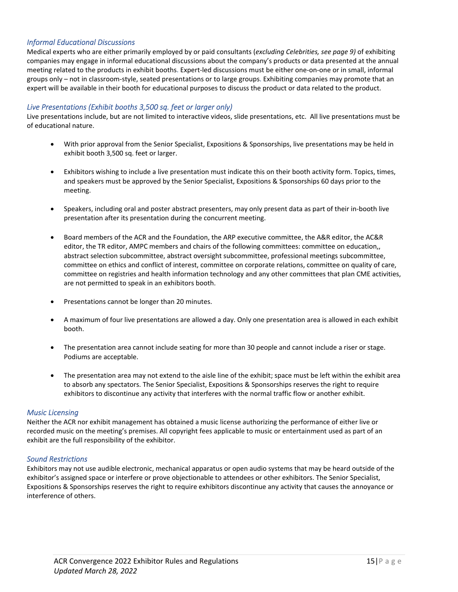# *Informal Educational Discussions*

Medical experts who are either primarily employed by or paid consultants (*excluding Celebrities, see page 9)* of exhibiting companies may engage in informal educational discussions about the company's products or data presented at the annual meeting related to the products in exhibit booths. Expert‐led discussions must be either one‐on‐one or in small, informal groups only – not in classroom‐style, seated presentations or to large groups. Exhibiting companies may promote that an expert will be available in their booth for educational purposes to discuss the product or data related to the product.

# *Live Presentations (Exhibit booths 3,500 sq. feet or larger only)*

Live presentations include, but are not limited to interactive videos, slide presentations, etc. All live presentations must be of educational nature.

- With prior approval from the Senior Specialist, Expositions & Sponsorships, live presentations may be held in exhibit booth 3,500 sq. feet or larger.
- Exhibitors wishing to include a live presentation must indicate this on their booth activity form. Topics, times, and speakers must be approved by the Senior Specialist, Expositions & Sponsorships 60 days prior to the meeting.
- Speakers, including oral and poster abstract presenters, may only present data as part of their in-booth live presentation after its presentation during the concurrent meeting.
- Board members of the ACR and the Foundation, the ARP executive committee, the A&R editor, the AC&R editor, the TR editor, AMPC members and chairs of the following committees: committee on education,, abstract selection subcommittee, abstract oversight subcommittee, professional meetings subcommittee, committee on ethics and conflict of interest, committee on corporate relations, committee on quality of care, committee on registries and health information technology and any other committees that plan CME activities, are not permitted to speak in an exhibitors booth.
- Presentations cannot be longer than 20 minutes.
- A maximum of four live presentations are allowed a day. Only one presentation area is allowed in each exhibit booth.
- The presentation area cannot include seating for more than 30 people and cannot include a riser or stage. Podiums are acceptable.
- The presentation area may not extend to the aisle line of the exhibit; space must be left within the exhibit area to absorb any spectators. The Senior Specialist, Expositions & Sponsorships reserves the right to require exhibitors to discontinue any activity that interferes with the normal traffic flow or another exhibit.

#### *Music Licensing*

Neither the ACR nor exhibit management has obtained a music license authorizing the performance of either live or recorded music on the meeting's premises. All copyright fees applicable to music or entertainment used as part of an exhibit are the full responsibility of the exhibitor.

#### *Sound Restrictions*

Exhibitors may not use audible electronic, mechanical apparatus or open audio systems that may be heard outside of the exhibitor's assigned space or interfere or prove objectionable to attendees or other exhibitors. The Senior Specialist, Expositions & Sponsorships reserves the right to require exhibitors discontinue any activity that causes the annoyance or interference of others.